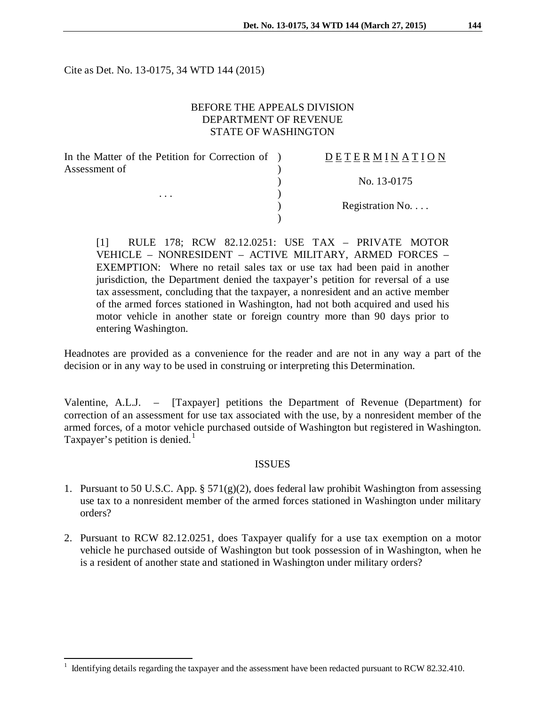Cite as Det. No. 13-0175, 34 WTD 144 (2015)

## BEFORE THE APPEALS DIVISION DEPARTMENT OF REVENUE STATE OF WASHINGTON

| In the Matter of the Petition for Correction of ) | <b>DETERMINATION</b>     |
|---------------------------------------------------|--------------------------|
| Assessment of<br>$\cdots$                         |                          |
|                                                   | No. 13-0175              |
|                                                   |                          |
|                                                   | Registration No. $\dots$ |
|                                                   |                          |

[1] RULE 178; RCW 82.12.0251: USE TAX – PRIVATE MOTOR VEHICLE – NONRESIDENT – ACTIVE MILITARY, ARMED FORCES – EXEMPTION: Where no retail sales tax or use tax had been paid in another jurisdiction, the Department denied the taxpayer's petition for reversal of a use tax assessment, concluding that the taxpayer, a nonresident and an active member of the armed forces stationed in Washington, had not both acquired and used his motor vehicle in another state or foreign country more than 90 days prior to entering Washington.

Headnotes are provided as a convenience for the reader and are not in any way a part of the decision or in any way to be used in construing or interpreting this Determination.

Valentine, A.L.J. – [Taxpayer] petitions the Department of Revenue (Department) for correction of an assessment for use tax associated with the use, by a nonresident member of the armed forces, of a motor vehicle purchased outside of Washington but registered in Washington. Taxpayer's petition is denied.<sup>[1](#page-0-0)</sup>

#### ISSUES

- 1. Pursuant to 50 U.S.C. App.  $\S 571(g)(2)$ , does federal law prohibit Washington from assessing use tax to a nonresident member of the armed forces stationed in Washington under military orders?
- 2. Pursuant to RCW 82.12.0251, does Taxpayer qualify for a use tax exemption on a motor vehicle he purchased outside of Washington but took possession of in Washington, when he is a resident of another state and stationed in Washington under military orders?

 $\overline{a}$ 

<span id="page-0-0"></span> $1$  Identifying details regarding the taxpayer and the assessment have been redacted pursuant to RCW 82.32.410.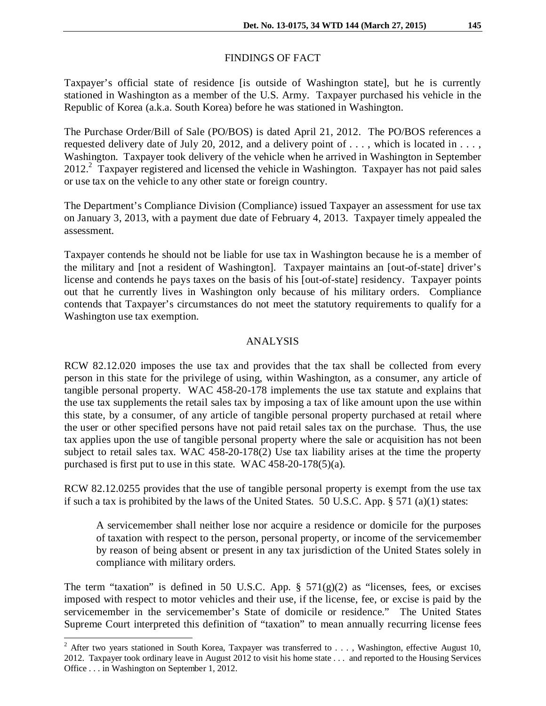# FINDINGS OF FACT

Taxpayer's official state of residence [is outside of Washington state], but he is currently stationed in Washington as a member of the U.S. Army. Taxpayer purchased his vehicle in the Republic of Korea (a.k.a. South Korea) before he was stationed in Washington.

The Purchase Order/Bill of Sale (PO/BOS) is dated April 21, 2012. The PO/BOS references a requested delivery date of July 20, 2012, and a delivery point of . . . , which is located in . . . , Washington. Taxpayer took delivery of the vehicle when he arrived in Washington in September 2012.<sup>2</sup> Taxpayer registered and licensed the vehicle in Washington. Taxpayer has not paid sales or use tax on the vehicle to any other state or foreign country.

The Department's Compliance Division (Compliance) issued Taxpayer an assessment for use tax on January 3, 2013, with a payment due date of February 4, 2013. Taxpayer timely appealed the assessment.

Taxpayer contends he should not be liable for use tax in Washington because he is a member of the military and [not a resident of Washington]. Taxpayer maintains an [out-of-state] driver's license and contends he pays taxes on the basis of his [out-of-state] residency. Taxpayer points out that he currently lives in Washington only because of his military orders. Compliance contends that Taxpayer's circumstances do not meet the statutory requirements to qualify for a Washington use tax exemption.

## ANALYSIS

RCW 82.12.020 imposes the use tax and provides that the tax shall be collected from every person in this state for the privilege of using, within Washington, as a consumer, any article of tangible personal property. WAC 458-20-178 implements the use tax statute and explains that the use tax supplements the retail sales tax by imposing a tax of like amount upon the use within this state, by a consumer, of any article of tangible personal property purchased at retail where the user or other specified persons have not paid retail sales tax on the purchase. Thus, the use tax applies upon the use of tangible personal property where the sale or acquisition has not been subject to retail sales tax. WAC 458-20-178(2) Use tax liability arises at the time the property purchased is first put to use in this state. WAC 458-20-178(5)(a)*.*

RCW 82.12.0255 provides that the use of tangible personal property is exempt from the use tax if such a tax is prohibited by the laws of the United States. 50 U.S.C. App. § 571 (a)(1) states:

A servicemember shall neither lose nor acquire a residence or domicile for the purposes of taxation with respect to the person, personal property, or income of the servicemember by reason of being absent or present in any tax jurisdiction of the United States solely in compliance with military orders.

The term "taxation" is defined in 50 U.S.C. App.  $\S$  571(g)(2) as "licenses, fees, or excises imposed with respect to motor vehicles and their use, if the license, fee, or excise is paid by the servicemember in the servicemember's State of domicile or residence." The United States Supreme Court interpreted this definition of "taxation" to mean annually recurring license fees

<span id="page-1-0"></span><sup>&</sup>lt;sup>2</sup> After two years stationed in South Korea, Taxpayer was transferred to . . . , Washington, effective August 10, 2012. Taxpayer took ordinary leave in August 2012 to visit his home state . . . and reported to the Housing Services Office . . . in Washington on September 1, 2012.  $\overline{\phantom{a}}$